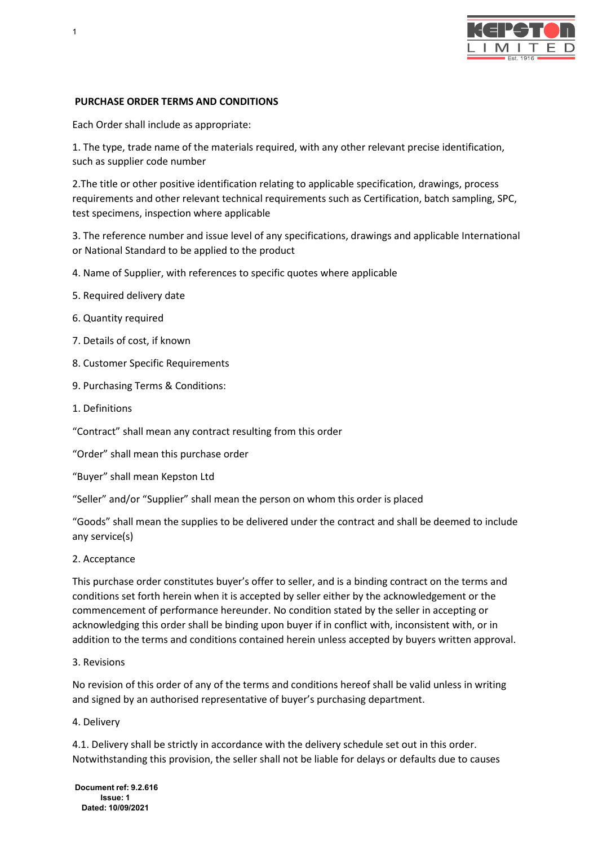

# **PURCHASE ORDER TERMS AND CONDITIONS**

Each Order shall include as appropriate:

1. The type, trade name of the materials required, with any other relevant precise identification, such as supplier code number

2.The title or other positive identification relating to applicable specification, drawings, process requirements and other relevant technical requirements such as Certification, batch sampling, SPC, test specimens, inspection where applicable

3. The reference number and issue level of any specifications, drawings and applicable International or National Standard to be applied to the product

- 4. Name of Supplier, with references to specific quotes where applicable
- 5. Required delivery date
- 6. Quantity required

1

- 7. Details of cost, if known
- 8. Customer Specific Requirements
- 9. Purchasing Terms & Conditions:
- 1. Definitions

"Contract" shall mean any contract resulting from this order

"Order" shall mean this purchase order

"Buyer" shall mean Kepston Ltd

"Seller" and/or "Supplier" shall mean the person on whom this order is placed

"Goods" shall mean the supplies to be delivered under the contract and shall be deemed to include any service(s)

### 2. Acceptance

This purchase order constitutes buyer's offer to seller, and is a binding contract on the terms and conditions set forth herein when it is accepted by seller either by the acknowledgement or the commencement of performance hereunder. No condition stated by the seller in accepting or acknowledging this order shall be binding upon buyer if in conflict with, inconsistent with, or in addition to the terms and conditions contained herein unless accepted by buyers written approval.

#### 3. Revisions

No revision of this order of any of the terms and conditions hereof shall be valid unless in writing and signed by an authorised representative of buyer's purchasing department.

#### 4. Delivery

4.1. Delivery shall be strictly in accordance with the delivery schedule set out in this order. Notwithstanding this provision, the seller shall not be liable for delays or defaults due to causes

**Document ref: 9.2.616 Issue: 1 Dated: 10/09/2021**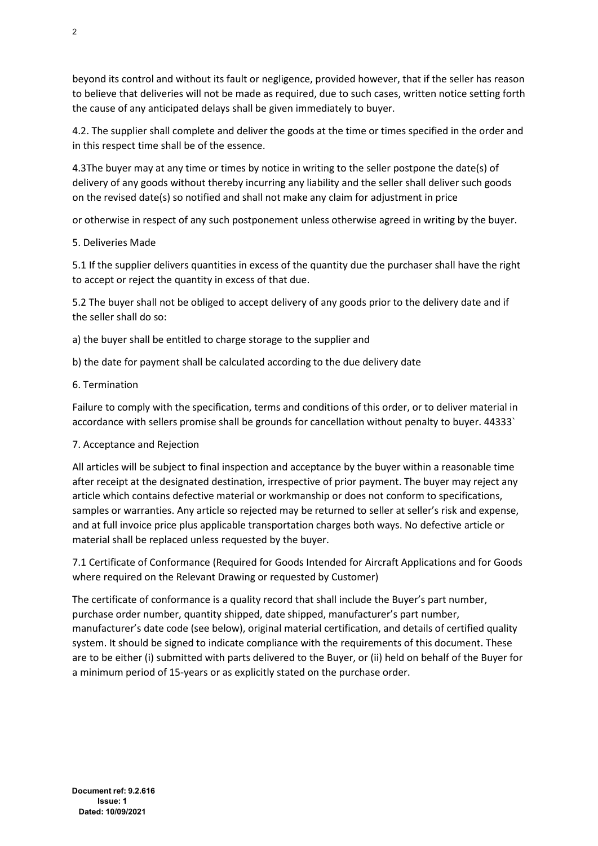beyond its control and without its fault or negligence, provided however, that if the seller has reason to believe that deliveries will not be made as required, due to such cases, written notice setting forth the cause of any anticipated delays shall be given immediately to buyer.

4.2. The supplier shall complete and deliver the goods at the time or times specified in the order and in this respect time shall be of the essence.

4.3The buyer may at any time or times by notice in writing to the seller postpone the date(s) of delivery of any goods without thereby incurring any liability and the seller shall deliver such goods on the revised date(s) so notified and shall not make any claim for adjustment in price

or otherwise in respect of any such postponement unless otherwise agreed in writing by the buyer.

# 5. Deliveries Made

5.1 If the supplier delivers quantities in excess of the quantity due the purchaser shall have the right to accept or reject the quantity in excess of that due.

5.2 The buyer shall not be obliged to accept delivery of any goods prior to the delivery date and if the seller shall do so:

a) the buyer shall be entitled to charge storage to the supplier and

b) the date for payment shall be calculated according to the due delivery date

# 6. Termination

Failure to comply with the specification, terms and conditions of this order, or to deliver material in accordance with sellers promise shall be grounds for cancellation without penalty to buyer. 44333`

### 7. Acceptance and Rejection

All articles will be subject to final inspection and acceptance by the buyer within a reasonable time after receipt at the designated destination, irrespective of prior payment. The buyer may reject any article which contains defective material or workmanship or does not conform to specifications, samples or warranties. Any article so rejected may be returned to seller at seller's risk and expense, and at full invoice price plus applicable transportation charges both ways. No defective article or material shall be replaced unless requested by the buyer.

7.1 Certificate of Conformance (Required for Goods Intended for Aircraft Applications and for Goods where required on the Relevant Drawing or requested by Customer)

The certificate of conformance is a quality record that shall include the Buyer's part number, purchase order number, quantity shipped, date shipped, manufacturer's part number, manufacturer's date code (see below), original material certification, and details of certified quality system. It should be signed to indicate compliance with the requirements of this document. These are to be either (i) submitted with parts delivered to the Buyer, or (ii) held on behalf of the Buyer for a minimum period of 15-years or as explicitly stated on the purchase order.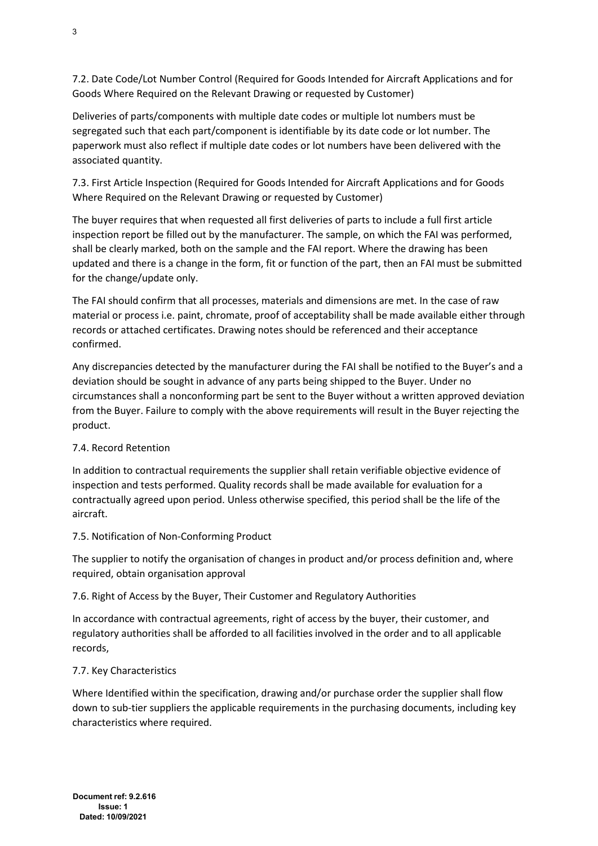7.2. Date Code/Lot Number Control (Required for Goods Intended for Aircraft Applications and for Goods Where Required on the Relevant Drawing or requested by Customer)

Deliveries of parts/components with multiple date codes or multiple lot numbers must be segregated such that each part/component is identifiable by its date code or lot number. The paperwork must also reflect if multiple date codes or lot numbers have been delivered with the associated quantity.

7.3. First Article Inspection (Required for Goods Intended for Aircraft Applications and for Goods Where Required on the Relevant Drawing or requested by Customer)

The buyer requires that when requested all first deliveries of parts to include a full first article inspection report be filled out by the manufacturer. The sample, on which the FAI was performed, shall be clearly marked, both on the sample and the FAI report. Where the drawing has been updated and there is a change in the form, fit or function of the part, then an FAI must be submitted for the change/update only.

The FAI should confirm that all processes, materials and dimensions are met. In the case of raw material or process i.e. paint, chromate, proof of acceptability shall be made available either through records or attached certificates. Drawing notes should be referenced and their acceptance confirmed.

Any discrepancies detected by the manufacturer during the FAI shall be notified to the Buyer's and a deviation should be sought in advance of any parts being shipped to the Buyer. Under no circumstances shall a nonconforming part be sent to the Buyer without a written approved deviation from the Buyer. Failure to comply with the above requirements will result in the Buyer rejecting the product.

# 7.4. Record Retention

In addition to contractual requirements the supplier shall retain verifiable objective evidence of inspection and tests performed. Quality records shall be made available for evaluation for a contractually agreed upon period. Unless otherwise specified, this period shall be the life of the aircraft.

### 7.5. Notification of Non-Conforming Product

The supplier to notify the organisation of changes in product and/or process definition and, where required, obtain organisation approval

### 7.6. Right of Access by the Buyer, Their Customer and Regulatory Authorities

In accordance with contractual agreements, right of access by the buyer, their customer, and regulatory authorities shall be afforded to all facilities involved in the order and to all applicable records,

### 7.7. Key Characteristics

Where Identified within the specification, drawing and/or purchase order the supplier shall flow down to sub-tier suppliers the applicable requirements in the purchasing documents, including key characteristics where required.